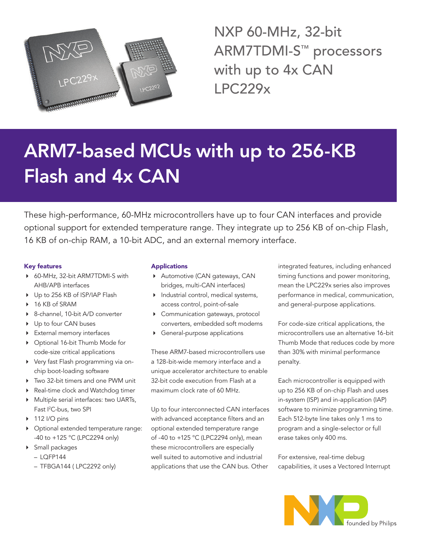

NXP 60-MHz, 32-bit ARM7TDMI-S™ processors with up to 4x CAN LPC229x

# ARM7-based MCUs with up to 256-KB Flash and 4x CAN

These high-performance, 60-MHz microcontrollers have up to four CAN interfaces and provide optional support for extended temperature range. They integrate up to 256 KB of on-chip Flash, 16 KB of on-chip RAM, a 10-bit ADC, and an external memory interface.

## Key features

- ▶ 60-MHz, 32-bit ARM7TDMI-S with AHB/APB interfaces
- ▶ Up to 256 KB of ISP/IAP Flash
- ▶ 16 KB of SRAM
- ▶ 8-channel, 10-bit A/D converter
- ▶ Up to four CAN buses
- 4 External memory interfaces
- ▶ Optional 16-bit Thumb Mode for code-size critical applications
- 4 Very fast Flash programming via onchip boot-loading software
- ▶ Two 32-bit timers and one PWM unit
- ▶ Real-time clock and Watchdog timer
- 4 Multiple serial interfaces: two UARTs, Fast I 2 C-bus, two SPI
- $\triangleright$  112 I/O pins
- 4 Optional extended temperature range: -40 to +125 °C (LPC2294 only)
- 4 Small packages
	- $-$  LOFP144
	- TFBGA144 (LPC2292 only)

### Applications

- ▶ Automotive (CAN gateways, CAN bridges, multi-CAN interfaces)
- 4 Industrial control, medical systems, access control, point-of-sale
- 4 Communication gateways, protocol converters, embedded soft modems
- 4 General-purpose applications

These ARM7-based microcontrollers use a 128-bit-wide memory interface and a unique accelerator architecture to enable 32-bit code execution from Flash at a maximum clock rate of 60 MHz.

Up to four interconnected CAN interfaces with advanced acceptance filters and an optional extended temperature range of -40 to +125 °C (LPC2294 only), mean these microcontrollers are especially well suited to automotive and industrial applications that use the CAN bus. Other

integrated features, including enhanced timing functions and power monitoring, mean the LPC229x series also improves performance in medical, communication, and general-purpose applications.

For code-size critical applications, the microcontrollers use an alternative 16-bit Thumb Mode that reduces code by more than 30% with minimal performance penalty.

Each microcontroller is equipped with up to 256 KB of on-chip Flash and uses in-system (ISP) and in-application (IAP) software to minimize programming time. Each 512-byte line takes only 1 ms to program and a single-selector or full erase takes only 400 ms.

For extensive, real-time debug capabilities, it uses a Vectored Interrupt